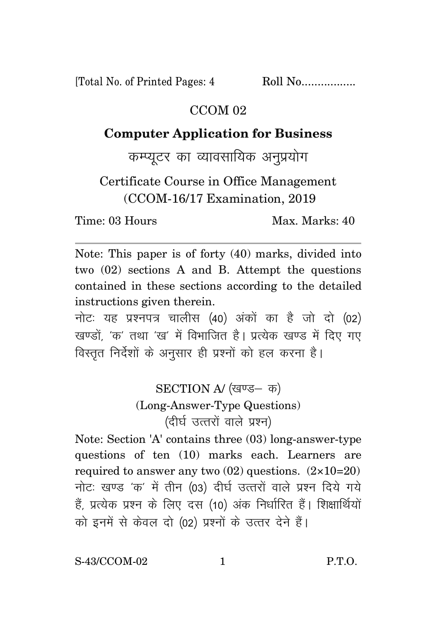[Total No. of Printed Pages: 4 Roll No.................

## CCOM<sub>02</sub>

## **Computer Application for Business**

कम्प्यूटर का व्यावसायिक अनुप्रयोग

Certificate Course in Office Management (CCOM-16/17 Examination, 2019

Time: 03 Hours Max. Marks: 40

Note: This paper is of forty (40) marks, divided into two (02) sections A and B. Attempt the questions contained in these sections according to the detailed instructions given therein.

नोट: यह प्रश्नपत्र चालीस (40) अंकों का है जो दो (02) खण्डों. 'क' तथा 'ख' में विभाजित है। प्रत्येक खण्ड में दिए गए विस्तृत निर्देशों के अनुसार ही प्रश्नों को हल करना है।

> SECTION A/ (खण्ड- क) (Long-Answer-Type Questions) (दीर्घ उत्तरों वाले प्रश्न)

Note: Section 'A' contains three (03) long-answer-type questions of ten (10) marks each. Learners are required to answer any two  $(02)$  questions.  $(2 \times 10=20)$ नोटः खण्ड 'क' में तीन (03) दीर्घ उत्तरों वाले प्रश्न दिये गये हैं, प्रत्येक प्रश्न के लिए दस (10) अंक निर्धारित हैं। शिक्षार्थियों को इनमें से केवल दो (02) प्रश्नों के उत्तर देने हैं।

S-43/CCOM-02 1 P.T.O.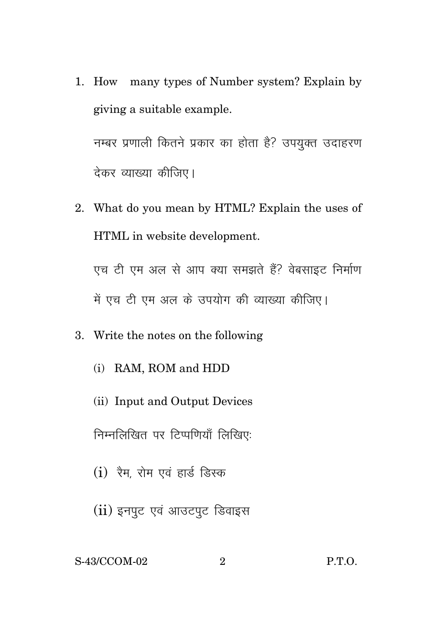1. How many types of Number system? Explain by giving a suitable example.

नम्बर प्रणाली कितने प्रकार का होता है? उपयुक्त उदाहरण देकर व्याख्या कीजिए।

2. What do you mean by HTML? Explain the uses of HTML in website development.

एच टी एम अल से आप क्या समझते हैं? वेबसाइट निर्माण में एच टी एम अल के उपयोग की व्याख्या कीजिए।

- 3. Write the notes on the following
	- (i) RAM, ROM and HDD
	- (ii) Input and Output Devices

निम्नलिखित पर टिप्पणियाँ लिखिए:

- $(i)$  रैम, रोम एवं हार्ड डिस्क
- $(ii)$  इनपूट एवं आउटपूट डिवाइस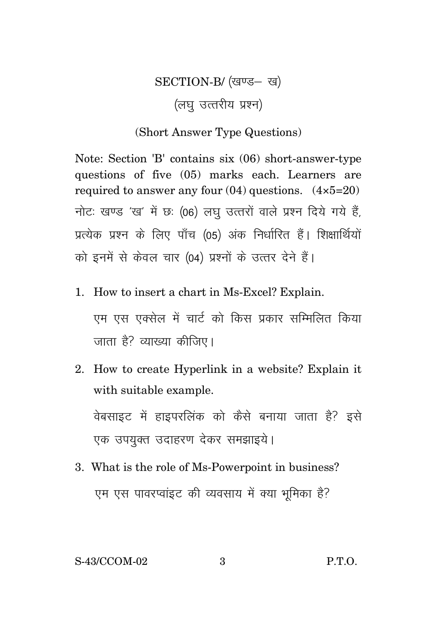## SECTION-B/ (खण्ड- ख) (लघ उत्तरीय प्रश्न)

## (Short Answer Type Questions)

Note: Section 'B' contains six (06) short-answer-type questions of five (05) marks each. Learners are required to answer any four  $(04)$  questions.  $(4 \times 5=20)$ नोटः खण्ड 'ख' में छः (06) लघु उत्तरों वाले प्रश्न दिये गये हैं, प्रत्येक प्रश्न के लिए पाँच (05) अंक निर्धारित हैं। शिक्षार्थियों को इनमें से केवल चार (04) प्रश्नों के उत्तर देने हैं।

- 1. How to insert a chart in Ms-Excel? Explain. एम एस एक्सेल में चार्ट को किस प्रकार सम्मिलित किया जाता है? व्याख्या कीजिए।
- 2. How to create Hyperlink in a website? Explain it with suitable example.

वेबसाइट में हाइपरलिंक को कैसे बनाया जाता है? इसे एक उपयुक्त उदाहरण देकर समझाइये।

3. What is the role of Ms-Powerpoint in business? एम एस पावरप्वांइट की व्यवसाय में क्या भूमिका है?

S-43/CCOM-02 3 P.T.O.